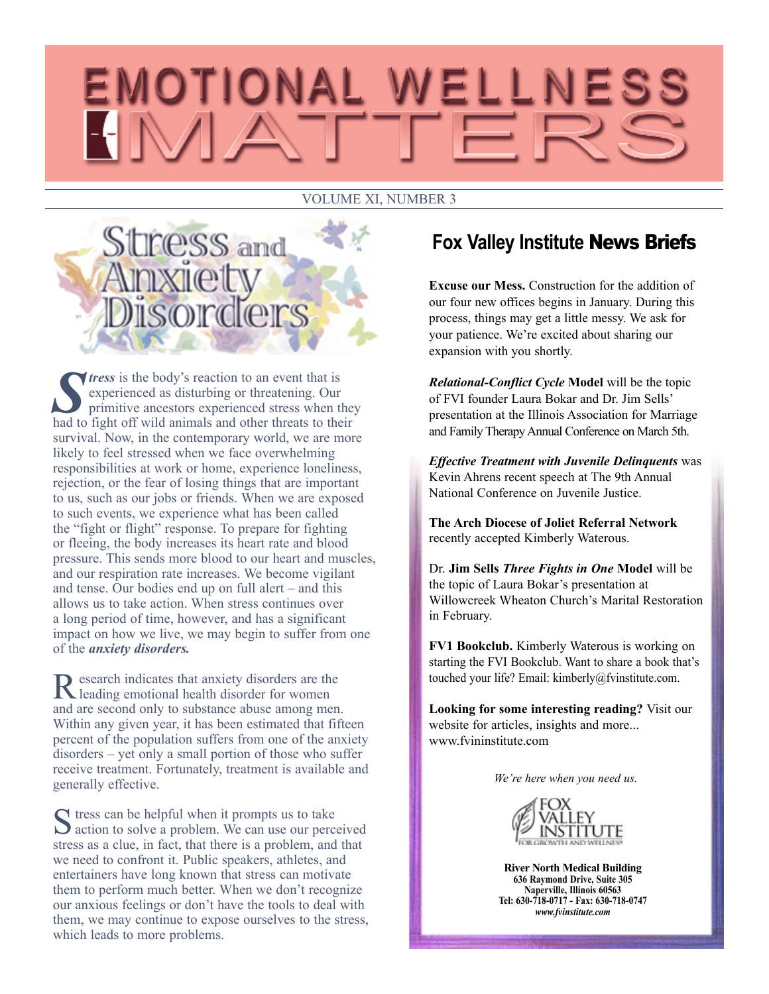# EMOTIONAL WELLNESS

#### VOLUME XI, NUMBER 3



**S** *S S S S S* **EXP EXP EXP EXP EXP EXP EXP EXP EXP EXP EXP EXP EXP EXP EXP EXP EXP EXP EXP EXP EXP EXP EXP EXP EXP EXP EXP EXP EXP EXP EXP EXP EXP** experienced as disturbing or threatening. Our primitive ancestors experienced stress when they had to fight off wild animals and other threats to their survival. Now, in the contemporary world, we are more likely to feel stressed when we face overwhelming responsibilities at work or home, experience loneliness, rejection, or the fear of losing things that are important to us, such as our jobs or friends. When we are exposed to such events, we experience what has been called the "fight or flight" response. To prepare for fighting or fleeing, the body increases its heart rate and blood pressure. This sends more blood to our heart and muscles, and our respiration rate increases. We become vigilant and tense. Our bodies end up on full alert – and this allows us to take action. When stress continues over a long period of time, however, and has a significant impact on how we live, we may begin to suffer from one of the *anxiety disorders.*

Research indicates that anxiety disorders are the leading emotional health disorder for women and are second only to substance abuse among men. Within any given year, it has been estimated that fifteen percent of the population suffers from one of the anxiety disorders – yet only a small portion of those who suffer receive treatment. Fortunately, treatment is available and generally effective.

 $\blacksquare$  tress can be helpful when it prompts us to take  $\sum$  action to solve a problem. We can use our perceived stress as a clue, in fact, that there is a problem, and that we need to confront it. Public speakers, athletes, and entertainers have long known that stress can motivate them to perform much better. When we don't recognize our anxious feelings or don't have the tools to deal with them, we may continue to expose ourselves to the stress, which leads to more problems.

## **Fox Valley Institute** News Briefs

**Excuse our Mess.** Construction for the addition of our four new offices begins in January. During this process, things may get a little messy. We ask for your patience. We're excited about sharing our expansion with you shortly.

*Relational-Conflict Cycle* **Model** will be the topic of FVI founder Laura Bokar and Dr. Jim Sells' presentation at the Illinois Association for Marriage and Family Therapy Annual Conference on March 5th.

*Effective Treatment with Juvenile Delinquents* was Kevin Ahrens recent speech at The 9th Annual National Conference on Juvenile Justice.

**The Arch Diocese of Joliet Referral Network** recently accepted Kimberly Waterous.

Dr. **Jim Sells** *Three Fights in One* **Model** will be the topic of Laura Bokar's presentation at Willowcreek Wheaton Church's Marital Restoration in February.

**FV1 Bookclub.** Kimberly Waterous is working on starting the FVI Bookclub. Want to share a book that's touched your life? Email: kimberly@fvinstitute.com.

**Looking for some interesting reading?** Visit our website for articles, insights and more... www.fvininstitute.com

*We're here when you need us.*



**River North Medical Building 636 Raymond Drive, Suite 305 Naperville, Illinois 60563 Tel: 630-718-0717 - Fax: 630-718-0747** *www.fvinstitute.com*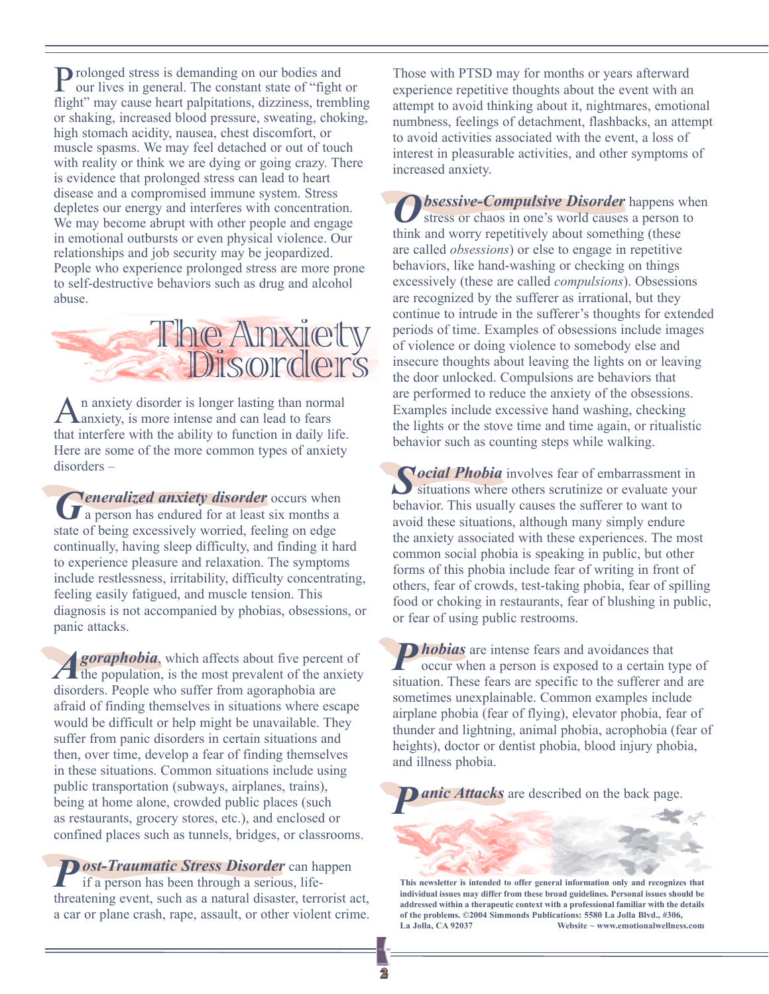Prolonged stress is demanding on our bodies and our lives in general. The constant state of "fight or flight" may cause heart palpitations, dizziness, trembling or shaking, increased blood pressure, sweating, choking, high stomach acidity, nausea, chest discomfort, or muscle spasms. We may feel detached or out of touch with reality or think we are dying or going crazy. There is evidence that prolonged stress can lead to heart disease and a compromised immune system. Stress depletes our energy and interferes with concentration. We may become abrupt with other people and engage in emotional outbursts or even physical violence. Our relationships and job security may be jeopardized. People who experience prolonged stress are more prone to self-destructive behaviors such as drug and alcohol abuse.



An anxiety disorder is longer lasting than normal anxiety, is more intense and can lead to fears that interfere with the ability to function in daily life. Here are some of the more common types of anxiety disorders –

**Generalized anxiety disorder** occurs when a person has endured for at least six months a state of being excessively worried, feeling on edge continually, having sleep difficulty, and finding it hard to experience pleasure and relaxation. The symptoms include restlessness, irritability, difficulty concentrating, feeling easily fatigued, and muscle tension. This diagnosis is not accompanied by phobias, obsessions, or panic attacks.

**Agoraphobia**, which affects about five percent of the population, is the most prevalent of the anxiety disorders. People who suffer from agoraphobia are afraid of finding themselves in situations where escape would be difficult or help might be unavailable. They suffer from panic disorders in certain situations and then, over time, develop a fear of finding themselves in these situations. Common situations include using public transportation (subways, airplanes, trains), being at home alone, crowded public places (such as restaurants, grocery stores, etc.), and enclosed or confined places such as tunnels, bridges, or classrooms.

*Post-Traumatic Stress Disorder* can happen if a person has been through a serious, lifethreatening event, such as a natural disaster, terrorist act, a car or plane crash, rape, assault, or other violent crime. Those with PTSD may for months or years afterward experience repetitive thoughts about the event with an attempt to avoid thinking about it, nightmares, emotional numbness, feelings of detachment, flashbacks, an attempt to avoid activities associated with the event, a loss of interest in pleasurable activities, and other symptoms of increased anxiety.

*<u>Disessive-Compulsive Disorder happens when</u>* stress or chaos in one's world causes a person to think and worry repetitively about something (these are called *obsessions*) or else to engage in repetitive behaviors, like hand-washing or checking on things excessively (these are called *compulsions*). Obsessions are recognized by the sufferer as irrational, but they continue to intrude in the sufferer's thoughts for extended periods of time. Examples of obsessions include images of violence or doing violence to somebody else and insecure thoughts about leaving the lights on or leaving the door unlocked. Compulsions are behaviors that are performed to reduce the anxiety of the obsessions. Examples include excessive hand washing, checking the lights or the stove time and time again, or ritualistic behavior such as counting steps while walking.

**Social Phobia** involves fear of embarrassment in situations where others scrutinize or evaluate your behavior. This usually causes the sufferer to want to avoid these situations, although many simply endure the anxiety associated with these experiences. The most common social phobia is speaking in public, but other forms of this phobia include fear of writing in front of others, fear of crowds, test-taking phobia, fear of spilling food or choking in restaurants, fear of blushing in public, or fear of using public restrooms.

**Phobias** are intense fears and avoidances that occur when a person is exposed to a certain type of situation. These fears are specific to the sufferer and are sometimes unexplainable. Common examples include airplane phobia (fear of flying), elevator phobia, fear of thunder and lightning, animal phobia, acrophobia (fear of heights), doctor or dentist phobia, blood injury phobia, and illness phobia.

*anic Attacks* are described on the back page.

**This newsletter is intended to offer general information only and recognizes that individual issues may differ from these broad guidelines. Personal issues should be addressed within a therapeutic context with a professional familiar with the details of the problems. ©2004 Simmonds Publications: 5580 La Jolla Blvd., #306, La Jolla, CA 92037 Website ~ www.emotionalwellness.com**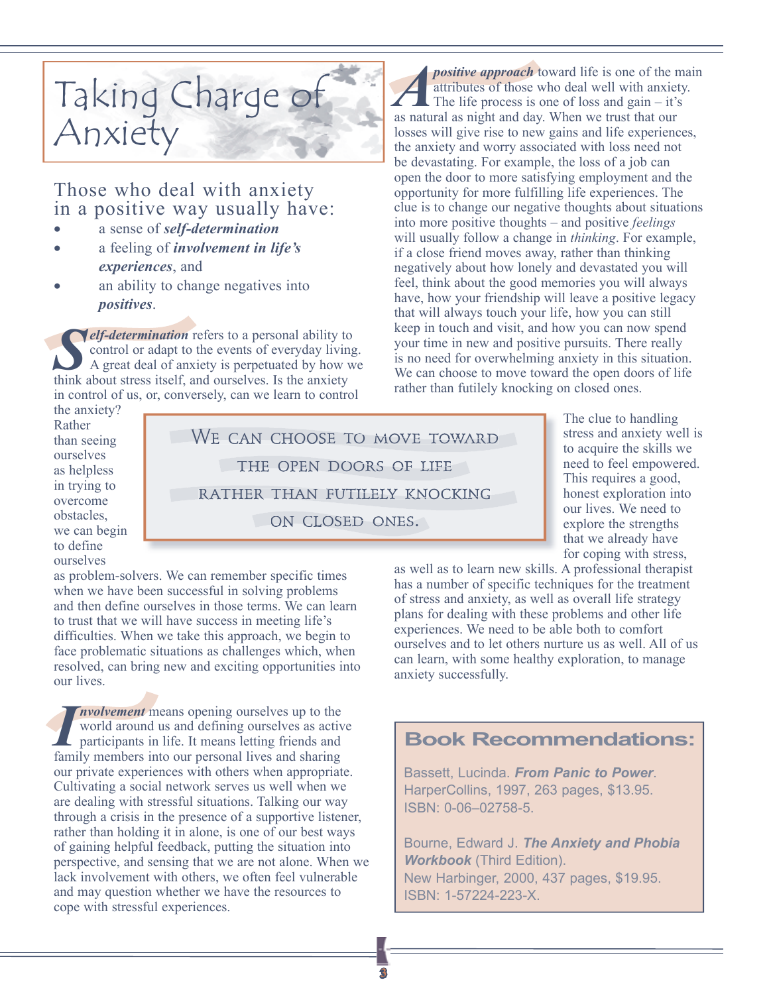## Taking Charge of Anxiety

### Those who deal with anxiety in a positive way usually have:

- a sense of *self-determination*
- a feeling of *involvement in life's experiences*, and
- an ability to change negatives into *positives*.

**Self-determination** refers to a personal ability to control or adapt to the events of everyday living. A great deal of anxiety is perpetuated by how we think about stress itself, and ourselves. Is the anxiety in control of us, or, conversely, can we learn to control

the anxiety? Rather than seeing ourselves as helpless in trying to overcome obstacles, we can begin to define ourselves

WE CAN CHOOSE TO MOVE TOWARD the open doors of life rather than futilely knocking on closed ones.

*positive approach* toward life is one of the main attributes of those who deal well with anxiety. The life process is one of loss and gain  $-$  it's as natural as night and day. When we trust that our losses will give rise to new gains and life experiences, the anxiety and worry associated with loss need not be devastating. For example, the loss of a job can open the door to more satisfying employment and the opportunity for more fulfilling life experiences. The clue is to change our negative thoughts about situations into more positive thoughts – and positive *feelings* will usually follow a change in *thinking*. For example, if a close friend moves away, rather than thinking negatively about how lonely and devastated you will feel, think about the good memories you will always have, how your friendship will leave a positive legacy that will always touch your life, how you can still keep in touch and visit, and how you can now spend your time in new and positive pursuits. There really is no need for overwhelming anxiety in this situation. We can choose to move toward the open doors of life rather than futilely knocking on closed ones.

> The clue to handling stress and anxiety well is to acquire the skills we need to feel empowered. This requires a good, honest exploration into our lives. We need to explore the strengths that we already have for coping with stress,

as well as to learn new skills. A professional therapist has a number of specific techniques for the treatment of stress and anxiety, as well as overall life strategy plans for dealing with these problems and other life experiences. We need to be able both to comfort ourselves and to let others nurture us as well. All of us can learn, with some healthy exploration, to manage anxiety successfully.

#### **Book Recommendations:**

Bassett, Lucinda. *From Panic to Power*. HarperCollins, 1997, 263 pages, \$13.95. ISBN: 0-06–02758-5.

Bourne, Edward J. *The Anxiety and Phobia Workbook* (Third Edition). New Harbinger, 2000, 437 pages, \$19.95. ISBN: 1-57224-223-X.

as problem-solvers. We can remember specific times when we have been successful in solving problems and then define ourselves in those terms. We can learn to trust that we will have success in meeting life's difficulties. When we take this approach, we begin to face problematic situations as challenges which, when resolved, can bring new and exciting opportunities into our lives.

*I* family members into our personal lives and sharing *nvolvement* means opening ourselves up to the world around us and defining ourselves as active participants in life. It means letting friends and our private experiences with others when appropriate. Cultivating a social network serves us well when we are dealing with stressful situations. Talking our way through a crisis in the presence of a supportive listener, rather than holding it in alone, is one of our best ways of gaining helpful feedback, putting the situation into perspective, and sensing that we are not alone. When we lack involvement with others, we often feel vulnerable and may question whether we have the resources to cope with stressful experiences.